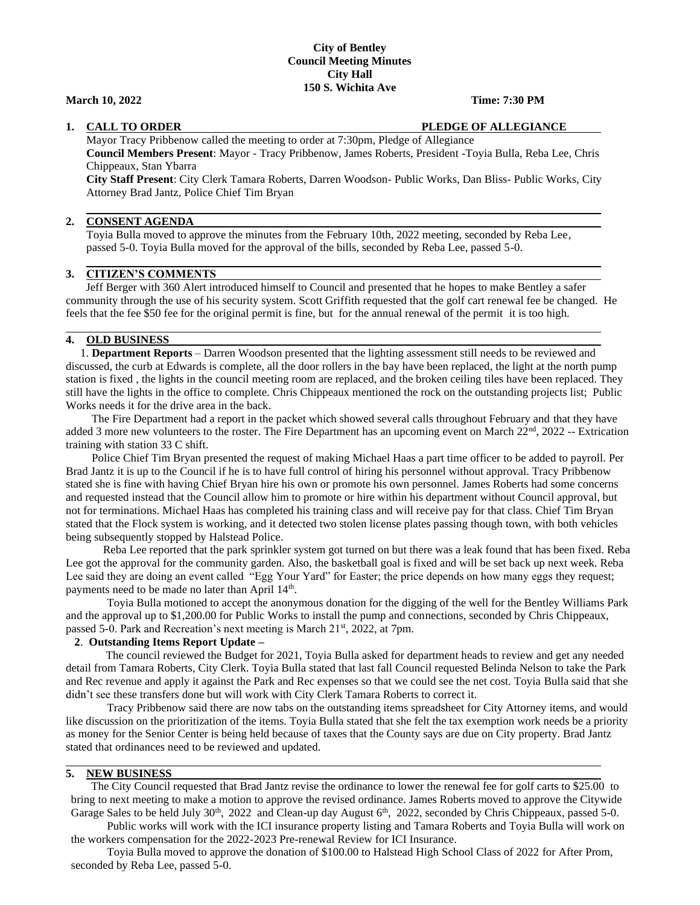### **City of Bentley Council Meeting Minutes City Hall 150 S. Wichita Ave**

### **March 10, 2022 Time: 7:30 PM**

#### **1. CALL TO ORDER PLEDGE OF ALLEGIANCE**

Mayor Tracy Pribbenow called the meeting to order at 7:30pm, Pledge of Allegiance **Council Members Present**: Mayor - Tracy Pribbenow, James Roberts, President -Toyia Bulla, Reba Lee, Chris Chippeaux, Stan Ybarra

**City Staff Present**: City Clerk Tamara Roberts, Darren Woodson- Public Works, Dan Bliss- Public Works, City Attorney Brad Jantz, Police Chief Tim Bryan

#### **2. CONSENT AGENDA**

Toyia Bulla moved to approve the minutes from the February 10th, 2022 meeting, seconded by Reba Lee, passed 5-0. Toyia Bulla moved for the approval of the bills, seconded by Reba Lee, passed 5-0.

### **3. CITIZEN'S COMMENTS**

 Jeff Berger with 360 Alert introduced himself to Council and presented that he hopes to make Bentley a safer community through the use of his security system. Scott Griffith requested that the golf cart renewal fee be changed. He feels that the fee \$50 fee for the original permit is fine, but for the annual renewal of the permit it is too high.

### **4. OLD BUSINESS**

 1. **Department Reports** – Darren Woodson presented that the lighting assessment still needs to be reviewed and discussed, the curb at Edwards is complete, all the door rollers in the bay have been replaced, the light at the north pump station is fixed , the lights in the council meeting room are replaced, and the broken ceiling tiles have been replaced. They still have the lights in the office to complete. Chris Chippeaux mentioned the rock on the outstanding projects list; Public Works needs it for the drive area in the back.

The Fire Department had a report in the packet which showed several calls throughout February and that they have added 3 more new volunteers to the roster. The Fire Department has an upcoming event on March  $22<sup>nd</sup>$ ,  $2022$  -- Extrication training with station 33 C shift.

 Police Chief Tim Bryan presented the request of making Michael Haas a part time officer to be added to payroll. Per Brad Jantz it is up to the Council if he is to have full control of hiring his personnel without approval. Tracy Pribbenow stated she is fine with having Chief Bryan hire his own or promote his own personnel. James Roberts had some concerns and requested instead that the Council allow him to promote or hire within his department without Council approval, but not for terminations. Michael Haas has completed his training class and will receive pay for that class. Chief Tim Bryan stated that the Flock system is working, and it detected two stolen license plates passing though town, with both vehicles being subsequently stopped by Halstead Police.

 Reba Lee reported that the park sprinkler system got turned on but there was a leak found that has been fixed. Reba Lee got the approval for the community garden. Also, the basketball goal is fixed and will be set back up next week. Reba Lee said they are doing an event called "Egg Your Yard" for Easter; the price depends on how many eggs they request; payments need to be made no later than April  $14<sup>th</sup>$ .

Toyia Bulla motioned to accept the anonymous donation for the digging of the well for the Bentley Williams Park and the approval up to \$1,200.00 for Public Works to install the pump and connections, seconded by Chris Chippeaux, passed 5-0. Park and Recreation's next meeting is March 21<sup>st</sup>, 2022, at 7pm.

#### **2**. **Outstanding Items Report Update –**

 The council reviewed the Budget for 2021, Toyia Bulla asked for department heads to review and get any needed detail from Tamara Roberts, City Clerk. Toyia Bulla stated that last fall Council requested Belinda Nelson to take the Park and Rec revenue and apply it against the Park and Rec expenses so that we could see the net cost. Toyia Bulla said that she didn't see these transfers done but will work with City Clerk Tamara Roberts to correct it.

Tracy Pribbenow said there are now tabs on the outstanding items spreadsheet for City Attorney items, and would like discussion on the prioritization of the items. Toyia Bulla stated that she felt the tax exemption work needs be a priority as money for the Senior Center is being held because of taxes that the County says are due on City property. Brad Jantz stated that ordinances need to be reviewed and updated.

## **5. NEW BUSINESS**

 The City Council requested that Brad Jantz revise the ordinance to lower the renewal fee for golf carts to \$25.00 to bring to next meeting to make a motion to approve the revised ordinance. James Roberts moved to approve the Citywide Garage Sales to be held July 30<sup>th</sup>, 2022 and Clean-up day August 6<sup>th</sup>, 2022, seconded by Chris Chippeaux, passed 5-0.

Public works will work with the ICI insurance property listing and Tamara Roberts and Toyia Bulla will work on the workers compensation for the 2022-2023 Pre-renewal Review for ICI Insurance.

Toyia Bulla moved to approve the donation of \$100.00 to Halstead High School Class of 2022 for After Prom, seconded by Reba Lee, passed 5-0.